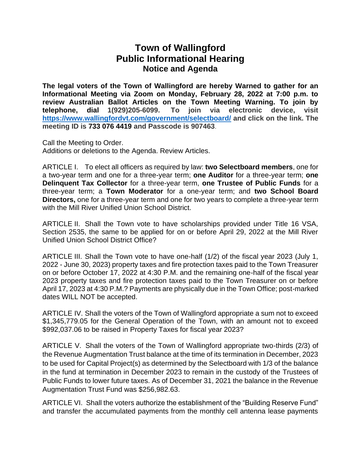## **Town of Wallingford Public Informational Hearing Notice and Agenda**

**The legal voters of the Town of Wallingford are hereby Warned to gather for an Informational Meeting via Zoom on Monday, February 28, 2022 at 7:00 p.m. to review Australian Ballot Articles on the Town Meeting Warning. To join by telephone, dial 1(929)205-6099. To join via electronic device, visit <https://www.wallingfordvt.com/government/selectboard/> and click on the link. The meeting ID is 733 076 4419 and Passcode is 907463**.

Call the Meeting to Order. Additions or deletions to the Agenda. Review Articles.

ARTICLE I. To elect all officers as required by law: **two Selectboard members**, one for a two-year term and one for a three-year term; **one Auditor** for a three-year term; **one Delinquent Tax Collector** for a three-year term, **one Trustee of Public Funds** for a three-year term; a **Town Moderator** for a one-year term; and **two School Board Directors,** one for a three-year term and one for two years to complete a three-year term with the Mill River Unified Union School District.

ARTICLE II. Shall the Town vote to have scholarships provided under Title 16 VSA, Section 2535, the same to be applied for on or before April 29, 2022 at the Mill River Unified Union School District Office?

ARTICLE III. Shall the Town vote to have one-half (1/2) of the fiscal year 2023 (July 1, 2022 - June 30, 2023) property taxes and fire protection taxes paid to the Town Treasurer on or before October 17, 2022 at 4:30 P.M. and the remaining one-half of the fiscal year 2023 property taxes and fire protection taxes paid to the Town Treasurer on or before April 17, 2023 at 4:30 P.M.? Payments are physically due in the Town Office; post-marked dates WILL NOT be accepted.

ARTICLE IV. Shall the voters of the Town of Wallingford appropriate a sum not to exceed \$1,345,779.05 for the General Operation of the Town, with an amount not to exceed \$992,037.06 to be raised in Property Taxes for fiscal year 2023?

ARTICLE V. Shall the voters of the Town of Wallingford appropriate two-thirds (2/3) of the Revenue Augmentation Trust balance at the time of its termination in December, 2023 to be used for Capital Project(s) as determined by the Selectboard with 1/3 of the balance in the fund at termination in December 2023 to remain in the custody of the Trustees of Public Funds to lower future taxes. As of December 31, 2021 the balance in the Revenue Augmentation Trust Fund was \$256,982.63.

ARTICLE VI. Shall the voters authorize the establishment of the "Building Reserve Fund" and transfer the accumulated payments from the monthly cell antenna lease payments